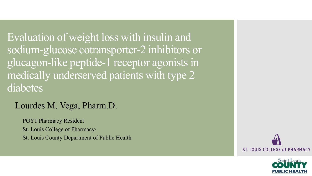Evaluation of weight loss with insulin and sodium-glucose cotransporter-2 inhibitors or glucagon-like peptide-1 receptor agonists in medically underserved patients with type 2 diabetes

#### Lourdes M. Vega, Pharm.D.

PGY1 Pharmacy Resident St. Louis College of Pharmacy/

St. Louis County Department of Public Health



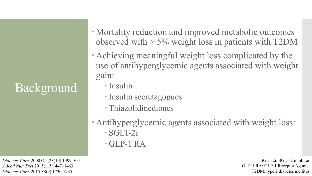## Background

*Diabetes Care*. 2000 Oct;23(10):1499-504. *J Acad Nutr Diet* 2015;115:1447–1463. *Diabetes Care*. 2015;38(9):1730-1735.

- Mortality reduction and improved metabolic outcomes observed with  $> 5\%$  weight loss in patients with T2DM
- Achieving meaningful weight loss complicated by the use of antihyperglycemic agents associated with weight gain:
	- Insulin
	- Insulin secretagogues
	- Thiazolidinediones
- Antihyperglycemic agents associated with weight loss: SGLT-2i
	- GLP-1 RA

SGLT-2i: SGLT-2 inhibitor GLP-1 RA: GLP-1 Receptor Agonist T2DM: type 2 diabetes mellitus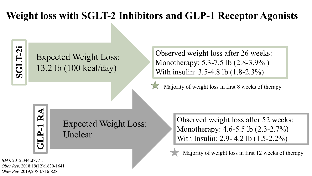### **Weight loss with SGLT-2 Inhibitors and GLP-1 Receptor Agonists**

SGLT-2i **SGLT-2i**

#### Expected Weight Loss: 13.2 lb (100 kcal/day)

Observed weight loss after 26 weeks: Monotherapy: 5.3-7.5 lb (2.8-3.9% ) With insulin: 3.5-4.8 lb (1.8-2.3%)

Majority of weight loss in first 8 weeks of therapy

**GLP -1 RA**

Expected Weight Loss: Unclear

Observed weight loss after 52 weeks: Monotherapy: 4.6-5.5 lb (2.3-2.7%) With Insulin: 2.9- 4.2 lb (1.5-2.2%)

Majority of weight loss in first 12 weeks of therapy

*BMJ*. 2012;344:d7771. *Obes Rev*. 2018;19(12):1630-1641 *Obes Rev.* 2019;20(6):816-828.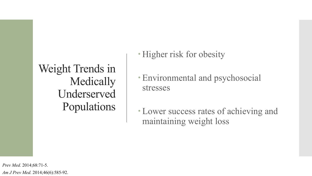Weight Trends in Medically Underserved Populations • Higher risk for obesity

 Environmental and psychosocial stresses

 Lower success rates of achieving and maintaining weight loss

*Prev Med.* 2014;68:71-5. *Am J Prev Med.* 2014;46(6):585-92.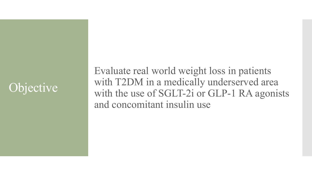## **Objective**

Evaluate real world weight loss in patients with T2DM in a medically underserved area with the use of SGLT-2i or GLP-1 RA agonists and concomitant insulin use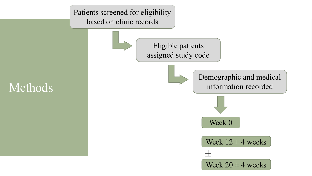Patients screened for eligibility based on clinic records



Methods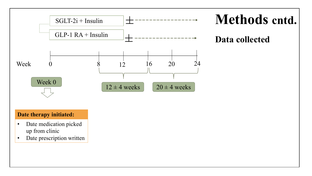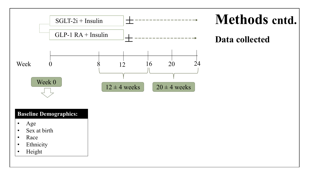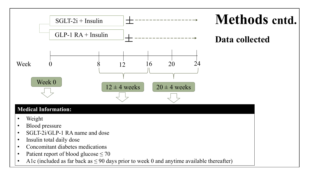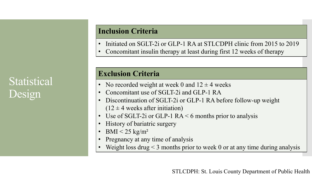### **Statistical** Design

#### **Inclusion Criteria**

- Initiated on SGLT-2i or GLP-1 RA at STLCDPH clinic from 2015 to 2019
- Concomitant insulin therapy at least during first 12 weeks of therapy

#### **Exclusion Criteria**

- No recorded weight at week 0 and  $12 \pm 4$  weeks
- Concomitant use of SGLT-2i and GLP-1 RA
- Discontinuation of SGLT-2i or GLP-1 RA before follow-up weight  $(12 \pm 4$  weeks after initiation)
- Use of SGLT-2i or GLP-1  $RA < 6$  months prior to analysis
- History of bariatric surgery
- BMI  $\leq$  25 kg/m<sup>2</sup>
- Pregnancy at any time of analysis
- Weight loss drug  $\leq$  3 months prior to week 0 or at any time during analysis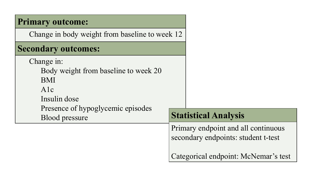| <b>Primary outcome:</b>                                                                                                                               |                                                                                                                    |
|-------------------------------------------------------------------------------------------------------------------------------------------------------|--------------------------------------------------------------------------------------------------------------------|
| Change in body weight from baseline to week 12                                                                                                        |                                                                                                                    |
| <b>Secondary outcomes:</b>                                                                                                                            |                                                                                                                    |
| Change in:<br>Body weight from baseline to week 20<br><b>BMI</b><br>A1c<br>Insulin dose<br>Presence of hypoglycemic episodes<br><b>Blood pressure</b> | <b>Statistical Analysis</b>                                                                                        |
|                                                                                                                                                       | Primary endpoint and all continuous<br>secondary endpoints: student t-test<br>Categorical endpoint: McNemar's test |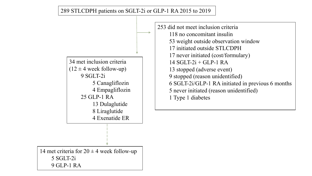289 STLCDPH patients on SGLT-2i or GLP-1 RA 2015 to 2019



253 did not meet inclusion criteria 118 no concomitant insulin 53 weight outside observation window 17 initiated outside STLCDPH 17 never initiated (cost/formulary)  $14$  SGLT-2i + GLP-1 RA 13 stopped (adverse event) 9 stopped (reason unidentified) 6 SGLT-2i/GLP-1 RA initiated in previous 6 months 5 never initiated (reason unidentified) 1 Type 1 diabetes

14 met criteria for  $20 \pm 4$  week follow-up 5 SGLT-2i 9 GLP-1 RA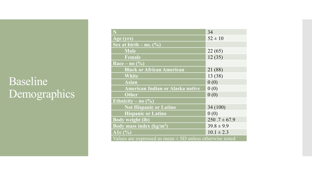### Baseline Demographics

|                                                              | 34               |  |  |  |
|--------------------------------------------------------------|------------------|--|--|--|
| Age (yrs)                                                    | $52 \pm 10$      |  |  |  |
| Sex at birth $-$ no. $(\%)$                                  |                  |  |  |  |
| <b>Male</b>                                                  | 22(65)           |  |  |  |
| Female                                                       | 12(35)           |  |  |  |
| $\overline{\text{Race}} - \overline{\text{no } (%)}$         |                  |  |  |  |
| <b>Black or African American</b>                             | 21 (88)          |  |  |  |
| <b>White</b>                                                 | 13 (38)          |  |  |  |
| <b>Asian</b>                                                 | 0(0)             |  |  |  |
| American Indian or Alaska native                             | 0(0)             |  |  |  |
| <b>Other</b>                                                 | 0(0)             |  |  |  |
| Ethnicity – no $(\% )$                                       |                  |  |  |  |
| <b>Not Hispanic or Latino</b>                                | 34(100)          |  |  |  |
| <b>Hispanic or Latino</b>                                    | 0(0)             |  |  |  |
| <b>Body weight (lb)</b>                                      | $250.7 \pm 67.9$ |  |  |  |
| Body mass index $(kg/m2)$                                    | $39.8 \pm 9.9$   |  |  |  |
| A1 $c($ %)                                                   | $10.1 \pm 2.3$   |  |  |  |
| Values are expressed as mean $\pm$ SD unless otherwise noted |                  |  |  |  |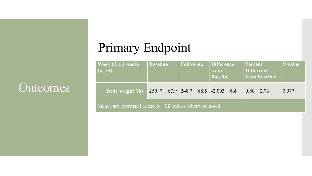## Primary Endpoint

| <b>Week 12 <math>\pm</math> 4 weeks</b><br>$(n=34)$ | <b>Baseline</b>                                    | <b>Follow-up</b> | Difference<br>from<br><b>Baseline</b> | Percent<br><b>Difference</b><br>from Baseline | <b>P</b> -value |
|-----------------------------------------------------|----------------------------------------------------|------------------|---------------------------------------|-----------------------------------------------|-----------------|
| <b>Body weight (lb)</b>                             | $250.7 \pm 67.9$ $248.7 \pm 68.5$ $-2.003 \pm 6.4$ |                  |                                       | $0.80 \pm 2.73$                               | 0.077           |

Values are expressed as mean  $\pm$  SD unless otherwise noted

### **Outcomes**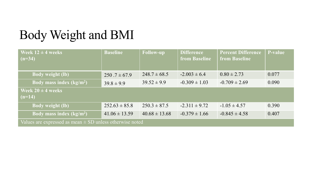## Body Weight and BMI

| Week $12 \pm 4$ weeks<br>$(n=34)$                            | <b>Baseline</b>   | <b>Follow-up</b>  | <b>Difference</b><br><b>from Baseline</b> | <b>Percent Difference</b><br><b>from Baseline</b> | P-value |
|--------------------------------------------------------------|-------------------|-------------------|-------------------------------------------|---------------------------------------------------|---------|
| <b>Body weight (lb)</b>                                      | $250.7 \pm 67.9$  | $248.7 \pm 68.5$  | $-2.003 \pm 6.4$                          | $0.80 \pm 2.73$                                   | 0.077   |
| Body mass index $(kg/m2)$                                    | $39.8 \pm 9.9$    | $39.52 \pm 9.9$   | $-0.309 \pm 1.03$                         | $-0.709 \pm 2.69$                                 | 0.090   |
| Week $20 \pm 4$ weeks<br>$(n=14)$                            |                   |                   |                                           |                                                   |         |
| <b>Body weight (lb)</b>                                      | $252.63 \pm 85.8$ | $250.3 \pm 87.5$  | $-2.311 \pm 9.72$                         | $-1.05 \pm 4.57$                                  | 0.390   |
| Body mass index $(kg/m2)$                                    | $41.06 \pm 13.59$ | $40.68 \pm 13.68$ | $-0.379 \pm 1.66$                         | $-0.845 \pm 4.58$                                 | 0.407   |
| Values are expressed as mean $\pm$ SD unless otherwise noted |                   |                   |                                           |                                                   |         |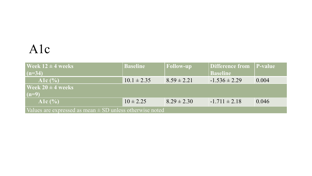### A1c

| Week $12 \pm 4$ weeks                                        | <b>Baseline</b> | Follow-up       | Difference from   | <b>P</b> -value |  |  |
|--------------------------------------------------------------|-----------------|-----------------|-------------------|-----------------|--|--|
| $(n=34)$                                                     |                 |                 | <b>Baseline</b>   |                 |  |  |
| Alc $(%$                                                     | $10.1 \pm 2.35$ | $8.59 \pm 2.21$ | $-1.536 \pm 2.29$ | 0.004           |  |  |
| <b>Week 20 <math>\pm</math> 4 weeks</b>                      |                 |                 |                   |                 |  |  |
| $(n=9)$                                                      |                 |                 |                   |                 |  |  |
| Alc $(%$                                                     | $10 \pm 2.25$   | $8.29 \pm 2.30$ | $-1.711 \pm 2.18$ | 0.046           |  |  |
| Values are expressed as mean $\pm$ SD unless otherwise noted |                 |                 |                   |                 |  |  |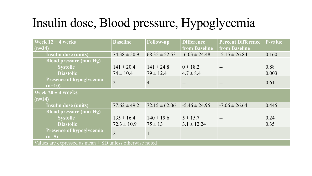## Insulin dose, Blood pressure, Hypoglycemia

| <b>Week 12 <math>\pm</math> 4 weeks</b>                      | <b>Baseline</b>  | <b>Follow-up</b>  | <b>Difference</b>    | <b>Percent Difference</b> | <b>P-value</b> |  |
|--------------------------------------------------------------|------------------|-------------------|----------------------|---------------------------|----------------|--|
| $(n=34)$                                                     |                  |                   | <b>from Baseline</b> | <b>from Baseline</b>      |                |  |
| <b>Insulin dose (units)</b>                                  | $74.38 \pm 50.9$ | $68.35 \pm 52.53$ | $-6.03 \pm 24.48$    | $-5.15 \pm 26.84$         | 0.160          |  |
| <b>Blood pressure (mm Hg)</b>                                |                  |                   |                      |                           |                |  |
| <b>Systolic</b>                                              | $141 \pm 20.4$   | $141 \pm 24.8$    | $0 \pm 18.2$         |                           | 0.88           |  |
| <b>Diastolic</b>                                             | $74 \pm 10.4$    | $79 \pm 12.4$     | $4.7 \pm 8.4$        |                           | 0.003          |  |
| Presence of hypoglycemia                                     | $\overline{2}$   | $\overline{4}$    |                      |                           | 0.61           |  |
| $(n=10)$                                                     |                  |                   |                      | $- -$                     |                |  |
| Week $20 \pm 4$ weeks                                        |                  |                   |                      |                           |                |  |
| $(n=14)$                                                     |                  |                   |                      |                           |                |  |
| <b>Insulin dose (units)</b>                                  | $77.62 \pm 49.2$ | $72.15 \pm 62.06$ | $-5.46 \pm 24.95$    | $-7.06 \pm 26.64$         | 0.445          |  |
| <b>Blood pressure (mm Hg)</b>                                |                  |                   |                      |                           |                |  |
| <b>Systolic</b>                                              | $135 \pm 16.4$   | $140 \pm 19.6$    | $5 \pm 15.7$         |                           | 0.24           |  |
| <b>Diastolic</b>                                             | $72.3 \pm 10.9$  | $75 \pm 13$       | $3.1 \pm 12.24$      |                           | 0.35           |  |
| Presence of hypoglycemia                                     | $\overline{2}$   |                   |                      |                           | $\mathbf{1}$   |  |
| $(n=5)$                                                      |                  |                   |                      |                           |                |  |
| Values are expressed as mean $\pm$ SD unless otherwise noted |                  |                   |                      |                           |                |  |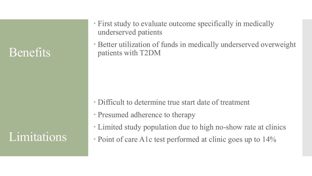### Benefits

Limitations

- First study to evaluate outcome specifically in medically underserved patients
- Better utilization of funds in medically underserved overweight patients with T2DM

- Difficult to determine true start date of treatment
- Presumed adherence to therapy
- Limited study population due to high no-show rate at clinics
- Point of care A1c test performed at clinic goes up to 14%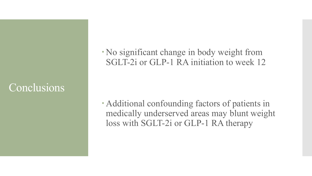### Conclusions

 No significant change in body weight from SGLT-2i or GLP-1 RA initiation to week 12

 Additional confounding factors of patients in medically underserved areas may blunt weight loss with SGLT-2i or GLP-1 RA therapy